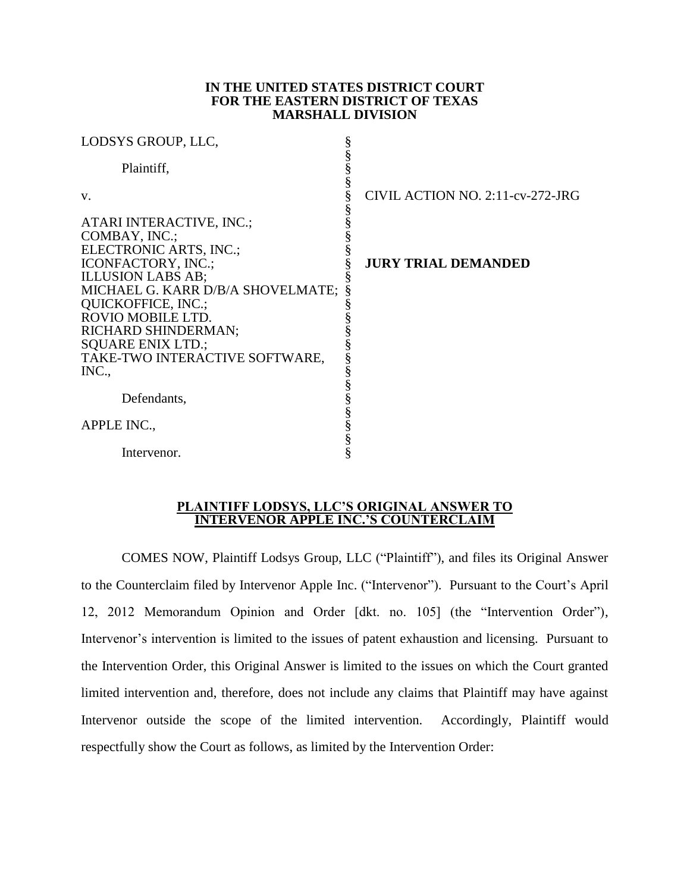#### **IN THE UNITED STATES DISTRICT COURT FOR THE EASTERN DISTRICT OF TEXAS MARSHALL DIVISION**

| LODSYS GROUP, LLC,                                         |                                  |
|------------------------------------------------------------|----------------------------------|
| Plaintiff,                                                 |                                  |
| V.                                                         | CIVIL ACTION NO. 2:11-cv-272-JRG |
| ATARI INTERACTIVE, INC.;<br>COMBAY, INC.;                  |                                  |
| ELECTRONIC ARTS, INC.;                                     |                                  |
| ICONFACTORY, INC.;<br><b>ILLUSION LABS AB;</b>             | <b>JURY TRIAL DEMANDED</b>       |
| MICHAEL G. KARR D/B/A SHOVELMATE;                          |                                  |
| QUICKOFFICE, INC.;<br>ROVIO MOBILE LTD.                    |                                  |
| RICHARD SHINDERMAN;                                        |                                  |
| <b>SQUARE ENIX LTD.;</b><br>TAKE-TWO INTERACTIVE SOFTWARE, |                                  |
| INC.,                                                      |                                  |
| Defendants,                                                |                                  |
| APPLE INC.,                                                | s<br>§                           |
| Intervenor.                                                |                                  |

#### **PLAINTIFF LODSYS, LLC'S ORIGINAL ANSWER TO INTERVENOR APPLE INC.'S COUNTERCLAIM**

COMES NOW, Plaintiff Lodsys Group, LLC ("Plaintiff"), and files its Original Answer to the Counterclaim filed by Intervenor Apple Inc. ("Intervenor"). Pursuant to the Court's April 12, 2012 Memorandum Opinion and Order [dkt. no. 105] (the "Intervention Order"), Intervenor's intervention is limited to the issues of patent exhaustion and licensing. Pursuant to the Intervention Order, this Original Answer is limited to the issues on which the Court granted limited intervention and, therefore, does not include any claims that Plaintiff may have against Intervenor outside the scope of the limited intervention. Accordingly, Plaintiff would respectfully show the Court as follows, as limited by the Intervention Order: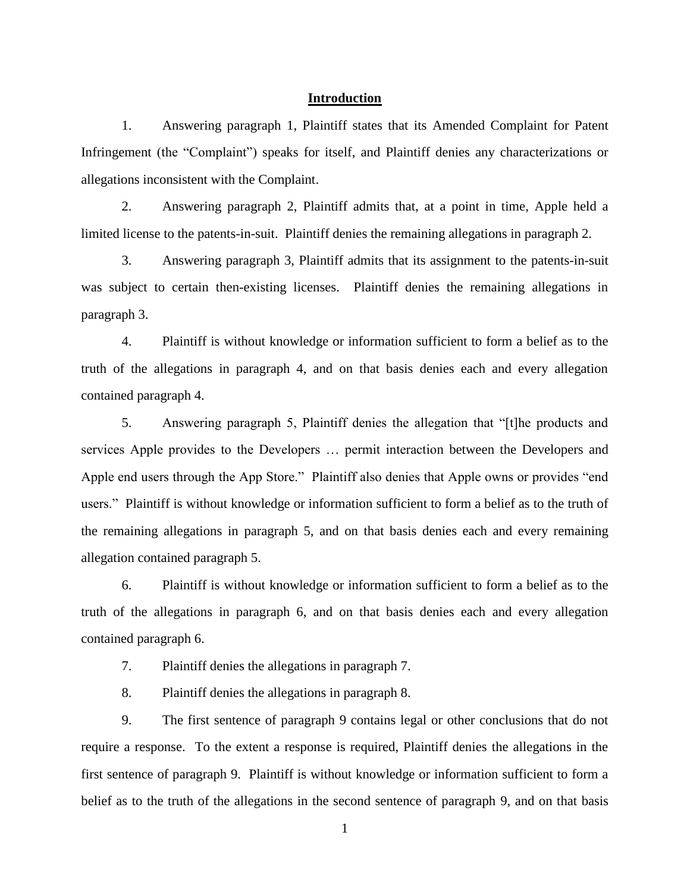# **Introduction**

1. Answering paragraph 1, Plaintiff states that its Amended Complaint for Patent Infringement (the "Complaint") speaks for itself, and Plaintiff denies any characterizations or allegations inconsistent with the Complaint.

2. Answering paragraph 2, Plaintiff admits that, at a point in time, Apple held a limited license to the patents-in-suit. Plaintiff denies the remaining allegations in paragraph 2.

3. Answering paragraph 3, Plaintiff admits that its assignment to the patents-in-suit was subject to certain then-existing licenses. Plaintiff denies the remaining allegations in paragraph 3.

4. Plaintiff is without knowledge or information sufficient to form a belief as to the truth of the allegations in paragraph 4, and on that basis denies each and every allegation contained paragraph 4.

5. Answering paragraph 5, Plaintiff denies the allegation that "[t]he products and services Apple provides to the Developers … permit interaction between the Developers and Apple end users through the App Store." Plaintiff also denies that Apple owns or provides "end users." Plaintiff is without knowledge or information sufficient to form a belief as to the truth of the remaining allegations in paragraph 5, and on that basis denies each and every remaining allegation contained paragraph 5.

6. Plaintiff is without knowledge or information sufficient to form a belief as to the truth of the allegations in paragraph 6, and on that basis denies each and every allegation contained paragraph 6.

7. Plaintiff denies the allegations in paragraph 7.

8. Plaintiff denies the allegations in paragraph 8.

9. The first sentence of paragraph 9 contains legal or other conclusions that do not require a response. To the extent a response is required, Plaintiff denies the allegations in the first sentence of paragraph 9. Plaintiff is without knowledge or information sufficient to form a belief as to the truth of the allegations in the second sentence of paragraph 9, and on that basis

1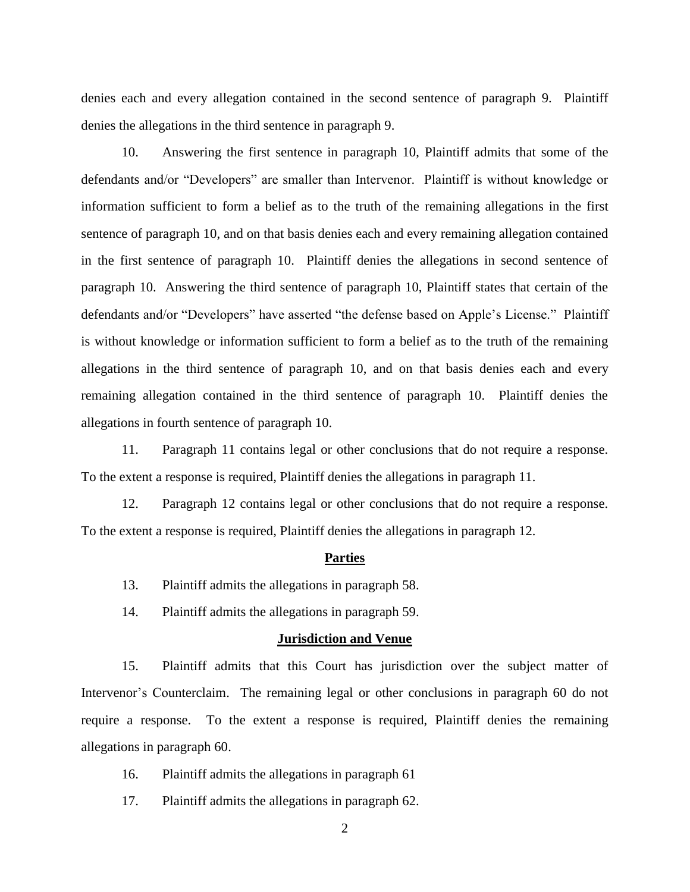denies each and every allegation contained in the second sentence of paragraph 9. Plaintiff denies the allegations in the third sentence in paragraph 9.

10. Answering the first sentence in paragraph 10, Plaintiff admits that some of the defendants and/or "Developers" are smaller than Intervenor. Plaintiff is without knowledge or information sufficient to form a belief as to the truth of the remaining allegations in the first sentence of paragraph 10, and on that basis denies each and every remaining allegation contained in the first sentence of paragraph 10. Plaintiff denies the allegations in second sentence of paragraph 10. Answering the third sentence of paragraph 10, Plaintiff states that certain of the defendants and/or "Developers" have asserted "the defense based on Apple's License." Plaintiff is without knowledge or information sufficient to form a belief as to the truth of the remaining allegations in the third sentence of paragraph 10, and on that basis denies each and every remaining allegation contained in the third sentence of paragraph 10. Plaintiff denies the allegations in fourth sentence of paragraph 10.

11. Paragraph 11 contains legal or other conclusions that do not require a response. To the extent a response is required, Plaintiff denies the allegations in paragraph 11.

12. Paragraph 12 contains legal or other conclusions that do not require a response. To the extent a response is required, Plaintiff denies the allegations in paragraph 12.

### **Parties**

- 13. Plaintiff admits the allegations in paragraph 58.
- 14. Plaintiff admits the allegations in paragraph 59.

#### **Jurisdiction and Venue**

15. Plaintiff admits that this Court has jurisdiction over the subject matter of Intervenor's Counterclaim. The remaining legal or other conclusions in paragraph 60 do not require a response. To the extent a response is required, Plaintiff denies the remaining allegations in paragraph 60.

- 16. Plaintiff admits the allegations in paragraph 61
- 17. Plaintiff admits the allegations in paragraph 62.
	- 2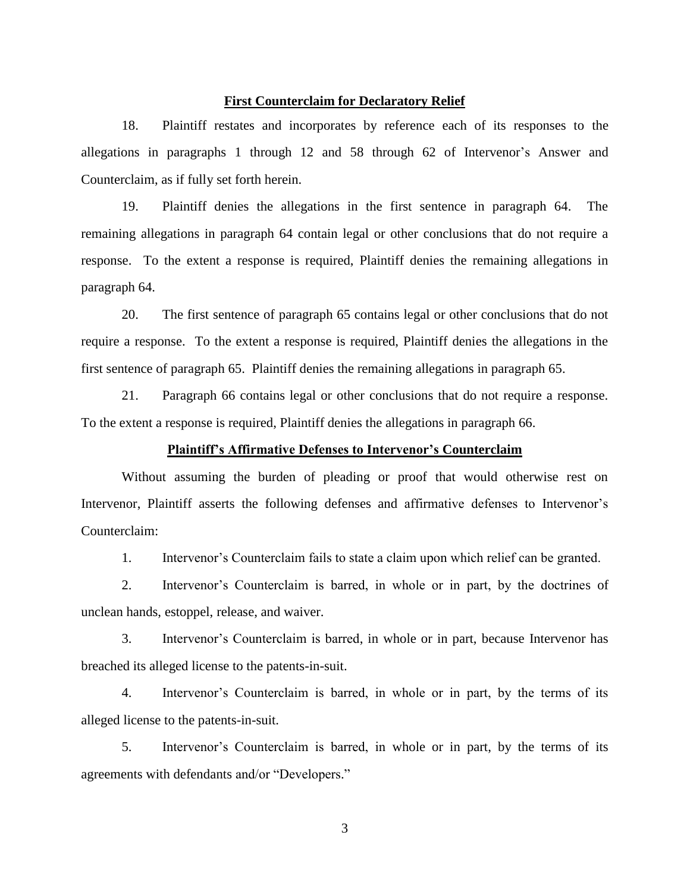### **First Counterclaim for Declaratory Relief**

18. Plaintiff restates and incorporates by reference each of its responses to the allegations in paragraphs 1 through 12 and 58 through 62 of Intervenor's Answer and Counterclaim, as if fully set forth herein.

19. Plaintiff denies the allegations in the first sentence in paragraph 64. The remaining allegations in paragraph 64 contain legal or other conclusions that do not require a response. To the extent a response is required, Plaintiff denies the remaining allegations in paragraph 64.

20. The first sentence of paragraph 65 contains legal or other conclusions that do not require a response. To the extent a response is required, Plaintiff denies the allegations in the first sentence of paragraph 65. Plaintiff denies the remaining allegations in paragraph 65.

21. Paragraph 66 contains legal or other conclusions that do not require a response. To the extent a response is required, Plaintiff denies the allegations in paragraph 66.

# **Plaintiff's Affirmative Defenses to Intervenor's Counterclaim**

Without assuming the burden of pleading or proof that would otherwise rest on Intervenor, Plaintiff asserts the following defenses and affirmative defenses to Intervenor's Counterclaim:

1. Intervenor's Counterclaim fails to state a claim upon which relief can be granted.

2. Intervenor's Counterclaim is barred, in whole or in part, by the doctrines of unclean hands, estoppel, release, and waiver.

3. Intervenor's Counterclaim is barred, in whole or in part, because Intervenor has breached its alleged license to the patents-in-suit.

4. Intervenor's Counterclaim is barred, in whole or in part, by the terms of its alleged license to the patents-in-suit.

5. Intervenor's Counterclaim is barred, in whole or in part, by the terms of its agreements with defendants and/or "Developers."

3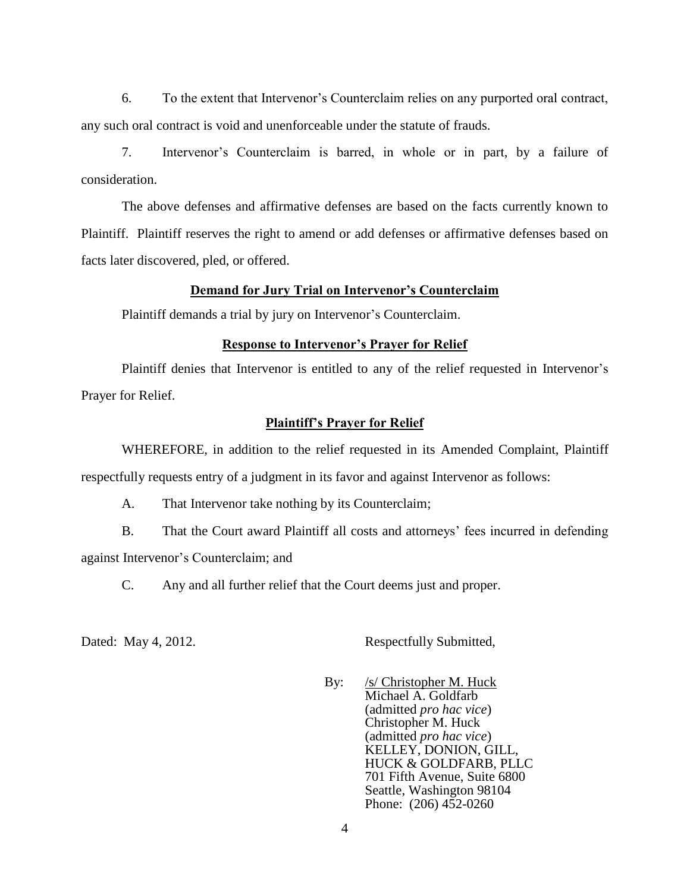6. To the extent that Intervenor's Counterclaim relies on any purported oral contract, any such oral contract is void and unenforceable under the statute of frauds.

7. Intervenor's Counterclaim is barred, in whole or in part, by a failure of consideration.

The above defenses and affirmative defenses are based on the facts currently known to Plaintiff. Plaintiff reserves the right to amend or add defenses or affirmative defenses based on facts later discovered, pled, or offered.

# **Demand for Jury Trial on Intervenor's Counterclaim**

Plaintiff demands a trial by jury on Intervenor's Counterclaim.

# **Response to Intervenor's Prayer for Relief**

Plaintiff denies that Intervenor is entitled to any of the relief requested in Intervenor's Prayer for Relief.

# **Plaintiff's Prayer for Relief**

WHEREFORE, in addition to the relief requested in its Amended Complaint, Plaintiff respectfully requests entry of a judgment in its favor and against Intervenor as follows:

A. That Intervenor take nothing by its Counterclaim;

B. That the Court award Plaintiff all costs and attorneys' fees incurred in defending against Intervenor's Counterclaim; and

C. Any and all further relief that the Court deems just and proper.

Dated: May 4, 2012. Respectfully Submitted,

By: /s/ Christopher M. Huck Michael A. Goldfarb (admitted *pro hac vice*) Christopher M. Huck (admitted *pro hac vice*) KELLEY, DONION, GILL, HUCK & GOLDFARB, PLLC 701 Fifth Avenue, Suite 6800 Seattle, Washington 98104 Phone: (206) 452-0260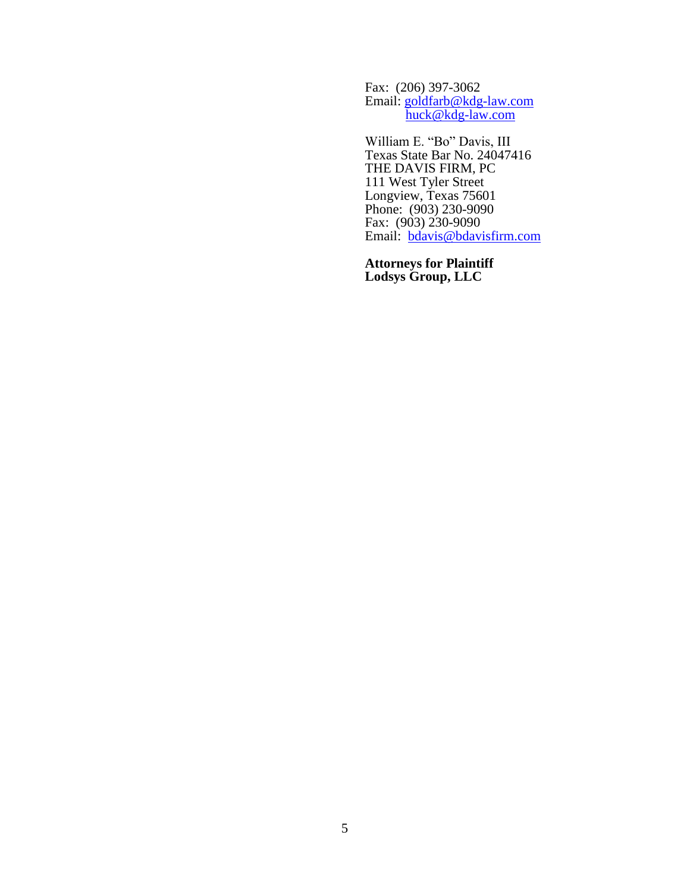Fax: (206) 397-3062 Email: [goldfarb@kdg-law.com](mailto:goldfarb@kdg-law.com) [huck@kdg-law.com](mailto:huck@kdg-law.com)

William E. "Bo" Davis, III Texas State Bar No. 24047416 THE DAVIS FIRM, PC 111 West Tyler Street Longview, Texas 75601 Phone: (903) 230-9090 Fax: (903) 230-9090 Email: [bdavis@bdavisfirm.com](mailto:bdavis@bdavisfirm.com)

**Attorneys for Plaintiff Lodsys Group, LLC**